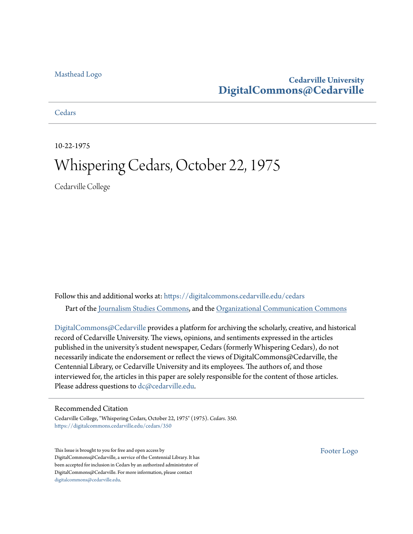### [Masthead Logo](http://www.cedarville.edu/?utm_source=digitalcommons.cedarville.edu%2Fcedars%2F350&utm_medium=PDF&utm_campaign=PDFCoverPages)

### **Cedarville University [DigitalCommons@Cedarville](https://digitalcommons.cedarville.edu?utm_source=digitalcommons.cedarville.edu%2Fcedars%2F350&utm_medium=PDF&utm_campaign=PDFCoverPages)**

**[Cedars](https://digitalcommons.cedarville.edu/cedars?utm_source=digitalcommons.cedarville.edu%2Fcedars%2F350&utm_medium=PDF&utm_campaign=PDFCoverPages)** 

10-22-1975

## Whispering Cedars, October 22, 1975

Cedarville College

Follow this and additional works at: [https://digitalcommons.cedarville.edu/cedars](https://digitalcommons.cedarville.edu/cedars?utm_source=digitalcommons.cedarville.edu%2Fcedars%2F350&utm_medium=PDF&utm_campaign=PDFCoverPages) Part of the [Journalism Studies Commons](http://network.bepress.com/hgg/discipline/333?utm_source=digitalcommons.cedarville.edu%2Fcedars%2F350&utm_medium=PDF&utm_campaign=PDFCoverPages), and the [Organizational Communication Commons](http://network.bepress.com/hgg/discipline/335?utm_source=digitalcommons.cedarville.edu%2Fcedars%2F350&utm_medium=PDF&utm_campaign=PDFCoverPages)

[DigitalCommons@Cedarville](http://digitalcommons.cedarville.edu/) provides a platform for archiving the scholarly, creative, and historical record of Cedarville University. The views, opinions, and sentiments expressed in the articles published in the university's student newspaper, Cedars (formerly Whispering Cedars), do not necessarily indicate the endorsement or reflect the views of DigitalCommons@Cedarville, the Centennial Library, or Cedarville University and its employees. The authors of, and those interviewed for, the articles in this paper are solely responsible for the content of those articles. Please address questions to [dc@cedarville.edu.](mailto:dc@cedarville.edu)

### Recommended Citation

Cedarville College, "Whispering Cedars, October 22, 1975" (1975). *Cedars*. 350. [https://digitalcommons.cedarville.edu/cedars/350](https://digitalcommons.cedarville.edu/cedars/350?utm_source=digitalcommons.cedarville.edu%2Fcedars%2F350&utm_medium=PDF&utm_campaign=PDFCoverPages)

This Issue is brought to you for free and open access by DigitalCommons@Cedarville, a service of the Centennial Library. It has been accepted for inclusion in Cedars by an authorized administrator of DigitalCommons@Cedarville. For more information, please contact [digitalcommons@cedarville.edu](mailto:digitalcommons@cedarville.edu).

[Footer Logo](http://www.cedarville.edu/Academics/Library.aspx?utm_source=digitalcommons.cedarville.edu%2Fcedars%2F350&utm_medium=PDF&utm_campaign=PDFCoverPages)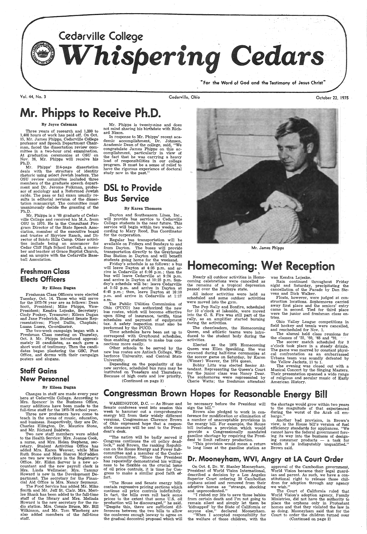

Vol. 44, No. 3 Cedarville, Ohio October 22, 1975

## Mr. Phipps to Receive Ph.D.

#### By Joyce Coleman

Three years of research and 1,200 to 1,400 hours of work has paid off. On Oct. 15, Mr. James Phipps, Cedarville College professor and Speech Department Chairman, faced the dissertation review committee in a two-hour oral examination. At graduation ceremonies at OSU on Nov. 26, Mr. Phipps will receive his Ph.D.

Mr. Phipps' 214-page dissertation deals with the structure of identity rhetoric using select Jewish leaders. The OSU review committee included three members of the graduate speech department and Dr. Jerome Folkman, professor of sociology and a Reformed Jewish rabbi. The pass or fail exam usually results in editorial revision of the disserfation manuscript. The committee must unanimously decide the granting of the . Ph.D.. -

Freshman Class Officers were elected Tuesday, Oct. 14. Those who will serve for the 1975-76 year are as follows: Dean Scott, President; Mike Phipps, Vice-President; Kendra Lojeske, Secretary; Cindy Poskey, Treasurer; Eileen Dugan and Jane Frederick, Student Senate Representatives; Floyd Dallis, Chaplain; Luann Luers, Co-ordinator.

 In response to Mr. Phipps' recent academic accomplishment, Dr. Johnson, Academic Dean of the college, said, "We congratulate James Phipps on this accomplishment, particularly in view of the fact that he was carrying a heavy load of responsibilities in our college program. It must be <sup>a</sup>sense of relief to have the rigorous experience of doctoral study now in the past.'

Mr. Phipps is a '68 graduate of Cedarville College and received his M.A. from OSU in 1970. He is the Consultant Program Director of the State Speech Association, member of the executive board and trustee of Skyview Ranch, and Director of Scioto Hills Camp. Other activities include being an announcer for Cedar Cliff High School football, a member and teacher at Grace Baptist Church, and an umpire with the Cedarville Baseball Association.

Dayton and Southeasern Lines, Inc., will provide bus service to Cedarville College students in the near future. This service will begin within two weeks, according to Mary Reed, Bus Coordinator for the corporation.

### freshman Class Elects Officers

#### By Eileen Dugan

Time schedules have been set up to correspond with Greyhound schedules, thus enabling students to make bus connections more easily.

The two-week campaign began with <sup>a</sup> Freshman Class meeting on Thursday, Oct. 9. Mr. Phipps introduced approximately 25 candidates, as each gave a short word of testimony. Then the candidates began plastering the GSC, Post Office, and dorms with their campaign posters and slogans.

### Staff Gains New Personnel

Mr. Phipps is twenty-nine and does not mind sharing his birthdate with Richard Nixon.

## DSL to Provide Bus Service

#### By Karen Thomson

Rain continued throughout Friday night and Saturday, precipitating the cancellation of the Parade by Dan Stevens and Dick Walker.

Floats, however, were judged at construction locations. Sophomores carried away first place and the seniors' entry came in second. Tied for third place were the junior and freshman class entries

Ohio Valley League competitions in field hockey and tennis were cancelled, and rescheduled for Nov. 1.

The alumni held class reunions for the classes of '55, '60, '65 and '70.

Regular bus transportation will be available on Fridays and Sundays to and· from Dayton. The buses will provide transportation directly to the Greyhound Bus Station in Dayton and will benefit students going home for the weekend.

Changes in staff are made every year here. at Cedarville College. According to Mrs. Spencer in the Business Office. many additions have been made to the full-time staff for the 1975-76 school year.

Friday's schedule is as follows: a bus will leave Dayton at 4:35 p.m. and arrive in Cedarville at 6:06 p.m.; then the bus will leave Cedarville at 9:24 p.m. and arrive in Dayton at 10:25 p.m. Sunday's schedule will be: leave Cedarville at 5:52 p.m. and arrive in Dayton at 6:45 p.m.; then, leave Dayton at 10:10 p.m. and arrive in Cedarville at 1:17 a.m.

 The Public Utilities Commission of Ohio (PUCO) has authorized the new bus routes, which will become effective upon filing of insurance, tariffs, time schedules and payment of equipment tax. A safety inspection must also be performed by the PUCO.

WASHINGTON,  $D.C.$  — As House and Senate conferees went into session this week to hammer out a comprehensive energy bill from their widely different versions, Congressman Clarence Brown · of Ohio expressed hope that a responsible measure will be sent to the President's desk.

Other schools to be served by the new bus routes are Antioch College, Wilberforce University, and Central State University.

Depending on the popularity of the new service, scheduled bus runs may be instituted on Tuesdays and Thursdays. Because of high costs and low priority, (Continued on page 3)



Mr. James Phipps

## Homecoming: Wet Reception

Nearly all outdoor activities in Homecoming celebrations were cancelled as the remains of a tropical depression passed over the Buckeye state.

All indoor activities were held as scheduled and some outdoor actiyities were moved into the gym.

> the shortage would grow within two years to the magnitude of that experienced during the worst of the Arab oil embargo."

Another bad provision, in Brown's view, is the House bill's version of fuel efficiency standards for appliances. "We cannot have the federal government forcing its way into the business of designing consumer products  $-$  a task for which it is indisputably unqualified." Brown said.

### Dr. Mooneyham, WVI, Angry at LA Court Order

The Pep Rally and Bonfire, scheduled for 10 o'clock at lakeside, were moved into the G. S. Fire was still part of the rally, as an amplifier started burning during the activities.

The cheerleaders, the Homecoming Queen, and athletic teams were introduced to the student body during the activities.

Elected as the 1975 Homecoming Queen was Ellen Spaulding. She was crowned during half-time ceremonies at the soccer game on Saturday, by Karen (Wimer) Weaver, the 1974 queen.

> approval of the Cambodian government, World Vision became their legal guardian and parent. As such, we have a constitutional right to release those children for adoption through any agency we wish."

Bobby Litts was elected Senior Attendant. Representing the Queen's Court for the junior class was Nancy Dear. The sophomores were represented by Cherie Watts; the freshman attendant

> The Court of California ruled that World Vision's adoption agency, Family Ministries, did not have the authority to place the orphans only in Protestant homes and that they violated the law in so doing. Mooneyham said that for the Court to order the children turned over

(Continued on page 2)

was Kendra Lojeske.

The soccer match scheduled for 3 <sup>o</sup>'clock took place in a steady drizzle. The game was marred by constant physical confrontation as an embarrassed Urbana team was soundly defeated by the Yellow Jackets, 11 to 1.

The evening was closed out with <sup>a</sup> Musical Concert by the Singing Masters. Their presentation spanned a wide range of religious and secular music of Early American History.

By Eileen Dugan

Three new professors have come to, teach in the areas of music, education, and business. Respectively, they are Dr. Charles Ellington, Dr. Maurice Stone, and Mr. Richard Baldwin.

Two new staff members were· added to the Health Service: Mrs. Joanne Cook, a nurse, and Mrs. Helen Stephens, secretary. Student Activities Office has added Mrs. Karen Weaver, while Miss Ruth Stone and Miss Sharon McFadden are two new workers in the Registrar's Office. Mr. Eldon Sarver is a new accountant and the new payroll clerk is Mrs. Linda Wellmeier. Mrs. Tammy Howard is new in the Development Department. The secretary for the Financial Aid Office is Mrs. Nancy Seymour.

The Food Service has added Mr. Mike. Smith and Mr. Jeff St. Clair. Mrs. Merilee Shank has been added to the full-time staff of the library and Mrs. Melinda Howard is the new secretary for the radio station. Mrs. Connie Bruce, Mr. Bill 'Wilkinson, and Mr. Tom Wineberg are also added members of the full-time staff.

## Congressman Brown Hopes for Reasonable Energy Bill

"The nation will be badly served if Congress continues the oil policy deadlock," said Brown, the ranking Republican on the House Energy and Power Subcommittee and a member of the Conference Committee. "Since the President has repeatedly demonstrated his willingness to be flexible on the crucial issue of oil price controls, it is time for Congress to make a similar good faith effort.

"The House and Senate energy bills contain regressive pricing sections which continue oil price controls indefinitely. In fact, the bills even roll back some prices to the extent that some U.S. oil production will be discouraged," he said. "Despite this, there are sufficient differences between the two bills to allow the conferees enough leeway to agree on the gradual decontrol proposal which will

be necessary before the President will sign the bill."

Brown also pledged to work in conference for modification or elimination of <sup>a</sup>number of unacceptable provisions in the energy bill. For example, the House bill includes a provision which would provide a Congressionally mandated gasoline shortage by requiring the President to limit refinery production.

"This provision would mean a return to long lines at the gasoline station as

On Oct. 6, Dr. W. Stanley Mooneyham, President of World Vision International, described a decision by a Los Angeles Superior Court ordering 20 Cambodian .orphans seized and removed from their adoptive homes as "strange, shocking and unprecedented."

"I risked my life to save those babies. from certain death and I'm not going to remain silent and simply let them be 'kidnapped' by the State of California or anyone else," declared Mooneyham.

"When I accepted responsibility for the welfare of those children, with the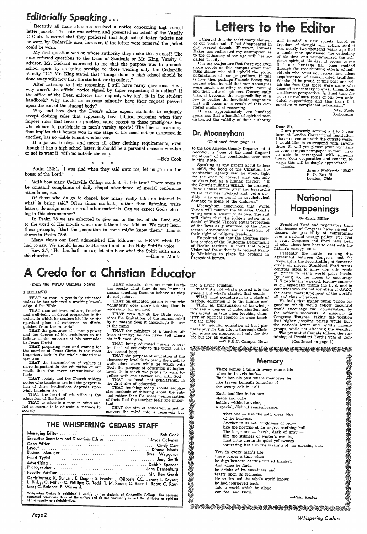## *Editorially Speaking* ...

Recently all male students received a notice concerning high school letter jackets. The note was written and presented on behalf of the Varsity C Club. It stated that they preferred that high school letter jackets not be w

My first question was on whose authority they make this request? The<br>note referred questions to the Dean of Students or Mr. King, Varsity C<br>advisor. Mr. Rickard expressed to me that the purpose was to promote<br>school spirit

upon the rest of the student body?<br>Why and how does the Dean's office expect students to seriously

accept clothing rules that supposedly have biblical reasoning when they impose rules that have no practical value except to those prestigious few who choose to participate in men's varsity sports? The line of reasoning tha

I thought that the reactionary element of our youth had all but disappeared in our present decade. However, Pamela Baker has redirected my assumption as to the orthodoxy of the age with her so- called probity. .

It is my conjecture that there are even<br>more people on this campus other than Miss Baker who still uphold the social dogmatisms of our progenitors. If this is true, then perhaps Francis Bacon was correct when he said that men's thoughts and their infused opinions. Consequently then, it becomes the responsibility of a few to realize the inevitable stagnation that will occur as a result of this cloi-stered method of reasoning.

It was approximately two hundred<br>years ago that a handful of spirited men distrusted the validity of their authority

If a jacket is clean and meets all other clothing requirements, even though it has a high school letter, it should be a personal decision whether or not to wear it, with no outside coercion.

-Bob Cook

\* \* \* Psalm 122:1, "I was glad when they said unto me, let us go into the house of the Lord."

Speaking as any parent about to lose a child, the head of the Christian hu-<br>manitarian agency said he would fight manitarian agency said to correct what can only be described as a human tragedy. "If the Court's ruling is upheld," he claimed, "it will cause untold grief and heartache to the families involved and, quite possibly, may even result in psychological damage to some of the children."

With how many Cedarville College students is this true? There seem to be constant complaints of daily chapel attendance, of special conference attendance, etc.

Of those who do go to chapel, how many really take an interest in what is being said? Often times students, rather than listening, write letters, do assignments or read other materials. Can we expect God's blessing in this

Mooneyham announced that World Vision will counter the Superior Court's ruling with a lawsuit of its own. The suit will claim that the judge's action is a denial of World Vision's equal protection of the laws as guaranteed by the Four-<br>teenth Amendment and a violation of

their right of religous freedom.<br>He pointed out that the adoption services section of the California Department<br>of Health testified in court that World<br>Vision had the authority to request Family Ministries to place the orphans in Protestant homes.

into a living fountain<br>THAT it's not what's poured into the student but what's planted that counts THAT what sculpture is to a block of marble, education is to the human soul

In Psalm 78 we are exhorted to give ear to the law of the Lord and to the word of His mouth which our fathers have told us. We must learn these precepts, "that the generation to come might know them." This is shown in Psalm 78:6.

Many times our Lord admonished His followers to HEAR what He had to say. We should listen to His word and to the Holy Spirit's voice.

had the Spirit saith unto the churches." He that hath an ear, let him hear what the Spirit saith unto the churches."

A Credo for a Christian Educator

..

Dear Sir,<br>I am presently serving a 1 to 5 year term at London Correctional Institution. I have no contact with the outside world.<br>I would like to correspond with anyone there. So will you please print my name in your campus newspaper so that I may be able to correspond with someone there. Your cooperation and concern towards this will be deeply appreciated. Thanks.

## **National** Happenings

guished from the material<br>THAT the greatness of a man's power and the degree of his usefulness to his fellows is the measure of his surrender to Jesus Christ

### Dr. Mooneyham

### (Continued from page 1)

to the Los Angeles County Department of Adoption is "one of the most flagrant violations" of the constiturtion ever seen in this state.

THAT to educate a man in mind and not in morals is to educate <sup>a</sup>menace to society

ing people what they do not know; it means teaching them to behave as they do not behave.

THAT an educated person is one who voluntarily does more thinking than is necessary for survival

THAT being educated means to pre-<br>fer the best not only to the worst but to the second best

THAT the purpose of education at the elementary level is to teach the pupil to walk alone even while he walks with God; the purpose of education at higher levels is to teach the pupils to walk to-gether with one another and with God

size methods of thinking about the sub-<br>ject rather than the mere memorization of facts that the teacher feels are impor- tant

,

and founded <sup>a</sup>new society based on freedom of thought and action. And it was nearly two thousand years ago that<br>a single man questioned the orthodoxy of his time and revolutionized the reli<sup>g</sup>ious spirit. of his day. It seems to me that our heritage has been molded viduals who could not retreat into silent acquiescence of unwarranted tradition. ish the fact that there were some who deemed it necessary to grasp things from a different perspective. Is it not time for us to re-evaluate some of our own antedated suppasitions and flee from that sanctum of complacent submission?

#### • \* \*

Peter Poole Sophomore

Each leaf lies in its own shade and color holding within its veins, a special, distinct remembrance.

That one - like the soft, clear blue of the heavens. Another in its hot, brightness of red—<br>like the nostrils of an angry, seething bull. The large one  $-$  harsh, dark of gray  $$ like the stillness of winter's evening. That little one in its quiet yellowness saturating itself in the warmth of the morning sun.

James McKenzie 139-613 P. 0. Box 69 London, Ohio

#### By Craig Miller

Yes, in every man's life there comes a time when he digs beneath earth's ruffled blanket. And when he finds, he drinks of its sweetness and feasts upon its richness. He smiles and the whole world knows he had journeyed back into a world which he alone can feel and know.

ARZAZAZAZAZAZAZARA ZARA

President Ford and negotiators from both houses of Congress have agreed to discuss the possibility of compromise over a national energy policy. For over <sup>a</sup>year, Congress and Ford have been at odds about how best to deal with the nation's energy woes.

Presently the matter causing dis-<br>agreement between Congress and the President is the decontrolling of domestic<br>crude oil prices. President Ford wants controls lifted to allow domestic crude By doing so, he hopes to encourage U. S. producers to search for new sources (from the WPBC Campus News) THAT education does not mean teach- into a living fountain of oil, especially within the U.S. and in marble, education is to the function is to the countries who are not members of OPEC, the total counts the cartel controlling most of the world's THAT what sculpture is to a block of oil and thus oil prices.<br>THAT what scul

#### I BELIEVE

THAT no man is genuinely educated unless he has achieved a working knowledge of the Bible

THAT man achieves culture, freedom and well-being in direct proportion to the extent in which he centers his life on the spiritual plane of existence as distin-

THAT preparing men and women for the service of Jesus Christ is the most important task in the whole educational spectrum

THAT the transmission of values is more, important in the education of our youth than the mere transmission of facts

THAT society and the Church seldom<br>notice who teachers are but the perpetuanotice who teachers are but the perpetua-<br>tion of these institutions depends upon<br>what teachers do

THAT the heart of education is the education of the heart

THAT even though the Bible recog- nizes the limitations of the human mind by no means does it discourage the use of the mind

THAT the ministry of a teacher affects eternity; he can never tell where his influence stops

THAT manhood, not scholarship, is the first aim of education

# Letters to the Editor

THAT the aim of education is not to ACKAMERICAN CARA convert the mind into a reservoir but

### THE WHISPERING CEDARS STAFF

| Contributors: K. Duncan; E. Dugan; S. Franks; J. Gilbert; K.C. Jones; L. Keysor;<br>L. Kirby; C. Miller; C. Phillips; C. Redd; T. M. Reder; C. Rees; L. Roby; C. Row-<br>land: C. Rufener: B. Winward. |  |
|--------------------------------------------------------------------------------------------------------------------------------------------------------------------------------------------------------|--|

Whispering Cedars is published bi-weekly by the students of Cedarville College. The opinions<br>expressed herein are those of the writers and do not necessarily reflect the attitudes or opinions<br>of the faculty or administrati

*Page2* 

THAT all transmission of knowledge involves a degree of indoctrination and this is just as true when teaching chem- istry or political science as when teach-

THAT secular education at best pre-<br>pares only for this life; a thorough Christian education prepares not only for this<br>- life but for all eternity.

ing the Bible

64

He feels that higher pump prices for gasoline which would follow decontrol would encourage fuel conservation by the nation's motorists. A majority in Congress disagree, taking the position that higher gasoline prices would hurt the nation's lower and middle income groups, while not affecting the wealthy.

-W.P.B.C. Campus News

The present stalemate follows the sustaining of President Ford's veto of Con-

(Continued on page 3)

<u> 1984 - 1984 ARMANIA NASKAR NASKAR NASKAR NASKA</u>

### Memory

. There comes a time in every man's life when he travels back--Back into his past where memories lie like leaves beneath tentacles of the weary oak in Fall.

-Paul Kester

*Whispering Cedars* 

微缩微缩微缩微缩微缩微缩微缩微缩微缩微缩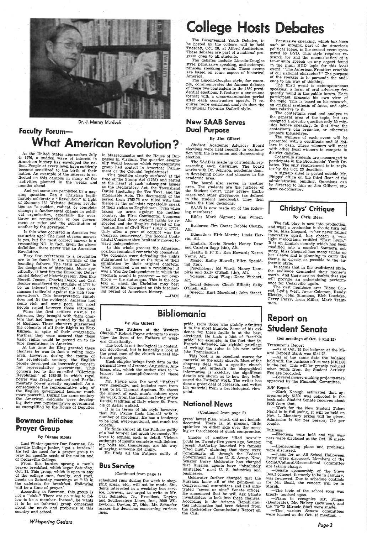

Dr. J. Murray Murdoch

## Faculty Forum-What American Revolution?

As the United States approaches July 4, 1976, a sudden wave of interest in American history has enveloped the nation. People at every level have suddenly become sensitized to the birth of their nation. An example of the interest is rebecome sensitized to the birth of their flected on this campus in many of the activities planned in the weeks and months ahead.

And yet some are perplexed by a nag-<br>ging question. Can a Christian legitimately celebrate a "Revolution" in light<br>of Romans 13? Webster defines revolu-<br>tion as "a sudden, radical, or complete change; a fundamental change in politi-<br>cal organization, especially the over-<br>throw or renunciation of one government or ruler and the substitution of another by the governed.'

Is this what occurred in America two centuries ago? The most obvious answer is yes, but the most correct answer is a resounding NO. In fact, given the above definition, there never was an American Revolution!

in Massachusetts and the House of Burally would become which representative group had control in America; Parlia-

ment or the Colonial regional legislatures.<br>This question clearly surfaced at the time of the Stamp Act (1765) and rested at the heart of such subsequent issues as the Declaratory Act, the Townshend Duties (including the Tea Tax), and the Intolerable Acts. The documents of the period from 1765-75 are filled with this theme as the colonists repeatedly speak of their rights as Englishmen. Even when taking up arms against the mother country, the First Continental Congress pleaded that these ancient rights be re-<br>spected and the Empire relieved of the "calamities of Civil War" (July 6, 1775).<br>Only after a year of conflict was the next dividends and continuations are<br>Congress reconvened. The Second Continental Congress then hesitantly moved to-<br>ward independence.<br>In this whole process the American

position remained remarkably consistent.<br>The colonists were defending the rights<br>guaranteed to them at the time of their<br>emigration by their original charters. guaranteed to them at the time of their emigration by their original charters. What occurred was not a revolution! It was a War for Independence in which the colonists sought to preserve  $-$  not over $through$  throw  $-$  the status quo. This is the context in which the Christian may best formulate his viewpoint on this fascinating period of American history.

 $-{\rm JMM}$ 

## **College Hosts Debates**

The Bicentennial Youth Debates, to be hosted by the college, will be held Tuesday, Oct. 28, at Alford Auditorium. These debates are part of a national program open to all students.<br>The debates include Lincoln-Douglas

style, persuasive speaking, and extemporaneous speaking events. These events are based on some aspect of historical America.

 The Lincoln-Douglas style, for exam ple, commemorates the famous debates of these two contenders in the 1860 presi-<br>dential elections. It features a one-on-one format with a cross-examination period after each constructive speech. It requires more consistent analysis than the traditional two-man Oxford style.

 Psychology: Ed Ward; Nancy Lam piris and Sally O'Shell (tie), Alt.<br>Science: Doug Wing; Dave Wishart,<br>Alt.

Social Science: Chuck Elliott; Sally O'Shell, Alt.

Very few references to a revolution are to be found in the writings of the founding fathers. The term actually is the designation of historians. More spe- cifically, it best fits the Economic Determinist School of historiography. Men like Merrill Jensen, Charles Beard and Carl Becker considered the struggle of 1776 to be an internal revolution of the poor<br>masses (radicals) against the rich (conservatives). This interpretation simply does not fit the evidence. America had some rich and some poor, but most people rested between those extremes.

When the first settlers came to America, they brought with them char-<br>ters that had been granted by the King of England. These charters guaranteed<br>the colonists of all their Rights as Eng-<br>lishmen in spite of their emigration.<br>Further, they were assured that these<br>basic rights would be passed on to fu-<br>ture generations in America When the first settlers came to<br>
America, they brought with them char-<br>
ters that had been granted by the King<br>
of England. These charters guaranteed<br>
of England. These charters guaranteed<br>
Ishmen in spite of their Rights

At the time the King granted these charters he was in fact a ruling mon-<br>arch. However, during the course of the seventeenth century, the English<br>people developed an increasing concern<br>for representative government. This concern led to the so-called "Glorious Revolution" of 1688-89 in which royal power was greatly reduced and Parliamentary power greatly expanded. As <sup>a</sup> consequence the representative wing of the English government became much the American colonists were develop-<br>ing their own representative government as exemplified by the House of Deputies

Last Winter quarter Dan Bowman, Ce-<br>darville College junior, "got a burden."<br>He felt the need for a prayer group to pray for specific needs of the nation and

of Cedarville College.<br>From this burden sprang a men's<br>prayer breakfast, which began Saturday, Oct. 11. This group, which is open to any of the college men, faculty, and staff, meets on Saturday mornings at 7:50 in the cafeteria for breakfast. Following will be a time of prayer.'<br>We a time of prayer.' According to Bowman, this group is not a "club." There are no rules to fol-

### New SAAB Serves Dual Purpose

#### By Jim Gilbert

Student Academic Advisory Board elections were held recently in conjunction with the freshman and Homecoming election.

The SAAB is made up of students rep-<br>resenting each discipline. The board<br>works with Dr. Johnson, academic dean,<br>in developing policy and changes in the academic area.

In "The Fathers of the Western Church." Robert Payne attempts to over- view the lives of ten Fathers of Westview the lives of ten Fathers of West-<br>ern Christianity.

The book is not theological in content, nor devotional, but is basically a look at the great men of the church as real historical people.<br>Each chapter brings fresh data on the

personal lives of Jerome, Augustine, Am-<br>brose, etc., which the author uses to in-<br>terpret the accomplishments of these men.

Mr. Payne uses the word "Father" very generally, and includes men from Paul to St. Thomas Aquinas. He shows the impact of each man's culture upon his work, from the luxurious living of the Feudal tradition of Italy where St. Francis of Assisi walked.

The board. also serves in another area. The students are the justices of the Student Court. They review traffic cases and other grieVlanoes ( as defined in the student handbook). They then make the final decisions.

SAAB is now made up of the follow-<br>ing members:

It is in terms of his style however, that Mr. Payne finds himself with a to be long, over-emotional, and much too colorful.<br>He finds almost all the Fathers guilty

of a bad temper and much too moody. He<br>loves to explain each in detail. Vicious<br>outbursts of insults complete with lightening bolts and thunderings are his way of saying someone got angry.<br>He finds all the Fathers guilty of

Bible: Mark Sigmon; Ken Wimer, Alt.

Business: Jim Goetz; Debbie Clough, Alt.

Education: Kirk Martin; Linda Herrin, Alt.

English: Kevin Brock; Nancy Dear and Carolyn Sapp (tie), Aft.

Health & P.- E.: Ken Howard; Karen Namy, Alt.

Music: Kathy Howell; Ellen Spaulding (tie).

pride, from those who plainly admitted it to the most humble. Some of his evistretched. He finds a hint of "terrible" pride" for example, in the fact that St.<br>Francis defended his rightful privilege of writing the rules to his new order (the Franciscans).

Speech: Kurt Moreland; John Street, Alt.

This book is an excellent source for material on the early church. Most of the chapters deal with a specific church<br>leader, and although the biographical<br>information is sketchy, the significant<br>details are shown as to how they influ-<br>enced the Fathers' work. The writer has done a great deal of research, and writes his material from a psychological view- point.

Shades of another "Red scare"? Could be. Twenty-five years ago, Senator Joseph McCarthy launched his famous<br>
"Red hunt," claiming that there were<br>
Communists all through the Federal<br>
Government and the U.S. Army. Now,<br>
Senator Barry Goldwater has charged<br>
that Russian agents have "absolutely infiltrated" most U. S. industries and businesses.

Goldwater further charged that the Russians know all of the goings-on in Congressional committees and had infiltrated "seven or nine" Senate offices. He announced that he will ask Senate investigators to look into these charges. According to the Arizona Republican, this information had been deleted from the Rockefeller Commission's Report on the CIA.

 $\Delta \sim 10^7$ 

SBP Report<br>--- Mark Keough estimated that approximately \$1500 was collected in the book sale. Student Senate receives about \$300 from that.

Persuasive speaking, which has been such an integral part of the American political scene, is the second event sponsored by BYD. This style requires research for and the memorization of a ten-minute speech on any aspect found in the main BYD topic for this local event: "The American Frontier: crucible of our national character?" The purpose of the speaker is to, persuade the audi-

The third event is extemporaneous speaking, a form of oral advocacy frequently found in the public forum. Each participant presents his own view of the topic. This is based on his research, an original synthesis of facts, and opin- ions relative to it.

The contestants read and analyze in the general area of the topic, but are<br>assigned a specific question only 30 min-<br>utes before speaking. In that time the contestants can organize, or otherwise prepare themselves.

The winners of each event will be presented with a certificate and  $25$  dollars in cash. These winners will meet with other local winners to compete in district debates. district debates.<br>Cedarville students are encouraged to

participate in the Bicentennial Youth Debates. The only requirement is to regis-<br>ter by the Oct. 23 deadline.<br>A sign-up sheet is posted outside Mr.

### Bowman Initiates Prayer Group

#### By Dianne Monts

The cast members are: Diane Con-<br>rad, Lydia West, Joyce Coleman, Randy Kietzke, John Simmons, Rich Luedeke, Gerry Perry, Lynn Miller, Mark Trautman.

-As of the same date the balance held with the business office was \$1161:60 in the red. This will be greatly reduced when funds from the Student Activity Fee are recorded.

-Elections were held and the winners were disclosed at the Oct. 15 meet-<br>ing.

 -Plans for an All School Halloween Party were discussed. Members of the Social/Cultural/Recreational Committee are taking charge.<br>
-Senate sponsorship of the Steve

low to be a member. Instead, he wants it to be an informal group concerned about the needs and problems of this country and school.

*Whispering Cedars* 

### By Jim Gilbert

Boalt concert, formerly to be in January, was reviewed. Due to schedule conflicts for Mr. Boalt, the concert will be in March.

-The topic of the school song was briefly touched upon.<br>-Plans to recognize Mr. Phipps (Doctorate), Mr. Halsey (new son), and the '74-'75 Miracle Staff were made.

 $-$ The various Senate committees were formed at the Oct. 15 meeting.

### Bus Service

### {Continued from page 1)

scheduled runs during the week to shopping areas, etc., will not be made. Students interested in a weekday bus serv-<br>ice, however, are urged to write to Mr.<br>Carl Schaefer, Jr., President, Dayton<br>and Southeastern Lines, Inc., 2600 Wil-<br>lowborn, Dayton, 27, Ohio. Mr. Schaefer lowborn, Dayton, 27, Ohio. Mr. Schaefer<br>makes the decisions concerning various<br>lines.

### National. News

### (Continued from page 2)

gress' latest plan, which did not include decontrol. There is, at present, little optimism on either side over the meeting or the chances, of quick compromise.

<sup>A</sup>sign-up sheet is posted outside Mr. Phipps' office on the third floor of the administration building. Questions can be directed to him or Jim Gilbert, stu- dent co-ordinator.

### Christys' Critique

#### By Chris Rees

The fall play is now into production, and what a production it should turn out to be. Miss Shepard, in her never failing innovative spirit, has chosen a very light melodrama entitled "East Lynn." It is an English comedy which has been modified into a comical Southern sob story. Miss Shepard has many tricks up modified into a comical Southern sob her sleeve and is planning to carry the<br>theme as closely as possible to the au-<br>thentic style.<br>It seems that in the traditional style,

the audience demanded their money's worth. And there are no doubts that she will provide an entertaining perform-<br>ance for Cedarville again.

## Report on Student Senate

### (for meetings of Oct. 8 and 15)

Treasurer's Report

-As of Oct. 15 the balance at the Miami Deposit Bank was \$144.75.

-Several money-making projects were approved by the Financial Committee.

-Work for the New Student Talent Night is in full swing. It will be held on Nov. 1. Monetary prizes will be given. Admission is 50c per person; 75c per couple.

#### Business

-Homecoming plans and problems were discussed.

*Page3*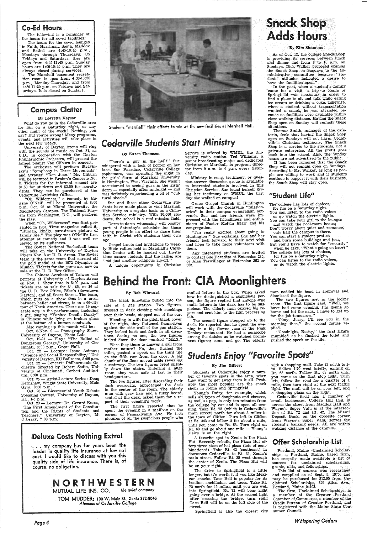### Co-Ed Hours

The following is a reminder of the hours for all co-ed facilities:

The hours for the co-ed lounges in Faith, Harriman, South, Maddox and Bethel are 4:45-10:45 p.m., Mondays through. Thursdays. On Fridays and Saturdays, they are open from 4:45-11:45 p.m. Sunday hours are 1:00-10:45 p.m. They are always closed during services.

The Marshall basement recrea- 'tion room is open from 4:30-10:30 p.m., Monday-Thursday, and from 4:30-11:30 p.m. on Fridays and Saturdays. It is closed on Sundays.

### Campus Clatter

I<br>I<br>I

#### By Lorretta Keysor

The orchestra will perform Stravinsky's "Symphony in Three Movements" and Strauss' "Don Juan." Mr. Cliburn will be featured in Brahm's Concerto No. Tickets for the informal concert are \$1.50 for students and \$2.50 for non-students. They can be purchased at the Cedarville Activities Office.

What do you do in the Cedarville area for fun on a Saturday night, or any other night of the week? Nothing, you say? But you're wrong! Many programs, events, and activities will take place in the next few weeks.

When "Oh, Wilderness" was first presented in 1933, Time magazine called it, "Human, kindly, sure-drawn picture of· family life." The play was O'Neill's first attempt at comedy and it was well receivied by its audiences.

University of Dayton Arena will ring with the sounds of music on Oct. 31, as U.D., in cooperation with the Dayton Philharmonic Orchestra, will present the famed pianist Van Cliburn in concert.

The Soviet National Basketball team will take on the University of Dayton Flyers Nov. 8 at U. D. Arena. The Soviet team is the same team that carried off the gold medal at the 1972 Olympics in Munich. Tickets for the game are now on sale at the U. D. Box Office.

"There's a guy in the hall!" Sue whispered with a look of horror on her faoe. Sue Paradiso, Cedarville College sophomore, was spending the night in the girls' dorm at Marshall University in Huntington, West Virginia. She wasn't accustomed to seeing guys in the girls'  $_{\rm{dorm}}$   $-$  especially after midnight  $-$  and was definitely experiencing a bit of "cultural shock."

Sue and three other Cedarville students have made plans to visit Marshall University on a regular basis as <sup>a</sup>Christian Service ministry. With 10,000 students, the school is a real mission field.



Students "marshal!" their efforts to win at the new facilities at Marshall Hall.

"Oh, Wilderness," a comedy by Eugene O'Neill, will be presented at 8:00 p.m. Oct. 25 at Miami University, the Middletown Campus. The National Players from Washington, D.C., will perform the play.

> Gospel tracts and invitations to weekly Bible rallies held in Marshall's Christian Center will be handed out. Invita tions assure students that the rallies are '·'not just another religious rip-off."

## *Cedarville Students Start Ministry*

### By Karen· Thomson

In the past, when a student's family came for a visit, a trip to Xenia or Springfield was necessary in order to find a place to sit and talk· while eating ice cream or drinking a coke. Likewise, when a student without transportation wanted a snack, he was- stranded because no facilities were available within close walking distance. Having the Snack Shop open on Sunday will remedy these situations.

Thomas Smith, manager of the cafeteria, feels that having the Snack Shop open on Sundays will not harm Cedarville's Christian testimony. The Snack Shop is a service to. the students, not <sup>a</sup> private enterprise. All the profit goes back into the school. Also, the Sunday hours ate not advertised to the public.

It has been rumored that the Snack-Shop will not remain open on Sundays. According to Mr. Walker, as long as people are willing to work and if students continue to support it with their business, the Snack Shop will stay open.

### "Student Life"

The" college has lots of choices, for fun on a Saturday night.

- You can listen to the radio voices
- or go watch the electric lights. You can take your girl to the lounges
- and watch the pool-room beaus; Don't worry about quiet and romance; only half the campus is there.
- You can start a student protest and burn some buildings and jeer,
- But you'll 'have to watch for "security" when he asks, "What's going on here?"
- The college has lots of choices, for fun on a Saturday night, You can listen to the radio voices,

Dorm-to-dorm witnessing will occupy part of Saturday's schedule for these young people in an effort to share their faith in Christ with students their own age.

<sup>A</sup>unique opportunity in Christian

Service is offered by WMUL, the University radio station. Ted Williams, <sup>a</sup> senior broadcasting major and dedicated Christian. at Marshall, is program director from 9 a.m. to 6 p.m. every Saturday.

Oct.  $19-21$  - Play: "The Ballad of Dangerous George," University of Cincinnati, 8~00 p.m., Great Hall.

Oct. 22 - Lecture: Isaac Asimov; "Science and Social Responsibility," University of Dayton, KU Ballroom, 8:00 p.m.

Ministry in song, testimony, or question-answer discussion group is available to interested students involved in this Christian Service. Sue found herself giving her testimony on WMUL the first day she walked on campus!

Oct. 22 - Concert: Philharmonic Orchestra directed by Robert Sadin, University of Cincinnati, Corbett Auditorium, 8:00 p.m.

Oct. 25 - Artist-Lecture Series: Doug Kernshaw, Wright State University, Main Gym, 8:00 p.m.

Oct. 26 - Bicentennial Youth Debate

Speaking Contest, University of Dayton, KU, 1-5 p.m.

Grace Gospel Church in Huntington will work with the Cedarville "missionaries" in their campus evangelism outreach. Sue and her friends were impressed with the friendliness and enthusiasm of Pastor Melvin Efaw and his congregation.

Oct. 29 - Lecture: Dr. Gerard Kerns, "The First Amendment of the Constitution and the Rights of Students and  $\rm Teachers,''$  University of Dayton, M-O'Leary, 7:30 p.m.

"I'm really excited about going to Huntington!" Sue exclaims. She and her friends look forward to their next visit and hope to take more volunteers with them.

Any interested students are invited to contact Sue Paradiso at Extension 285, or Alan Terwilleger at Extension 262 or 353.

## Snack Shop **Adds Hours**

#### By Kim Simmons

As of Oct. 12, the college Snack Shop is providing its serwces between lunch and dinner and from 8 to 10 p.m. on Sundays. Dick Walker proposed opening the Snack Shop on Sundays to the administrative . committee because '"students' attitudes indicated a desire to have the facilities open."

The first figure reported that he spent the evening in a mailbox on the corner of Pennsylvania Ave. He took <sup>p</sup>ictures of all the suspicious people who

### NORTHWESTE MUTUAL LIFE INS. CO. *the quiet company*

man nodded his head in approval and dismissed the figure.

Cedarville itself has a number of small businesses. College Hill IGA is across the street from Maddox· Hall and Wayne's Super Valu is at the intersection of Rt. 72 and Rt. 42. The Miami Deposit Bank, on the opposite corner from Wayne's Super Valu, serves the student's banking needs. All are within' walking distance of the campus.

or go watch the electric lights.

## Behind the Front: CIA Moonlighters

This list of sources was researched and compiled as of Sept. 5, 1975, and may be purchased for  $$12.95$  from Unclaimed Scholarships, 369 Allen Ave., Portland, Maine 04103.

The Chinese Acrobats of Taiwan will perform at University of Dayton Arena on Nov. 1. Show time is 8:00 p.m. and tickets are on sale for \$4, \$5, or \$6 at the U. D. Box Office, Rike's (downtown Dayton), and all Sears Stores. The team, which puts on a show that is a cross between ballet and circus, is on a 66-city tour of North America. There are 19 separate acts in the performance, including <sup>a</sup>girl singing "Yankee Doodle Dandy" in Chinese while lying on broken glass at the bottom of a human· sandwich.

Also coming up this month will be: Oct. 6-Nov. 9 - Photography Show: University of Dayton, Photo Lab.

#### By Bob Winward

The black limousine pulled into the side of a gas station. Two figures, dressed in dark clothing with stockings over their heads, stepped out of the car.

, Blending in with the pitch black cover of the night, they flattened themselves against the side wall of the gas station. They looked back and forth in all directions. Seeing no one, the two figures kicked down the door marked "MEN."

Were they there to answer a call from mother nature? No, they flushed the toilet, pushed a speck on the third tile on the fifth row from the door. A big chunk of the floor moved aside revealing a stairway. The two figures crept silently down the stairs. Entering a huge room, they were safe at last in their headquarters.

The two figures, after discarding their dark overcoats, approached the desk in the center of the room. The elderly man with gray hair and a fuzzy beard, seated at the desk, asked them for a report of their evening's work.

### -Deluxe Costs Nothing Extra!

... my company has for years been the leader in quality life insurance at low net cost. I would like to discuss with you this quality side of life insurance. There is, of course, no obligation.



*Page4* 

TOM MUDDER: 100 W. Main St., Xenia 372-8045 *Alumnus* ol *Cedarville College* 

mailed letters in the box. When asked how he distinguished a suspicious person, the figure replied that anyone who mails letters in the dark has to be suspicious. The elderly man okayed his report and sent him to the film processing lab.

The second figure stepped up to the desk. He reported that he spent the evening in a big flower vase at the Pink Donkey- restaurant. He had a periscope among the daisies as he watched prominent figures come and go. The elderly

The two figures met in the locker room. The first figure said, "Well, we have had some eviening. I'm gonna go home and hit the sack. I have to get up for the job tomorrow."

''Okay, Jerry, I'll see you in the morning then," the second figure replied.

"Goodnight, Rocky," the first figure mumbled as he flushed the toilet and pushed the speck on the tile.

## *Students Enjoy "Favorite* Spots".

#### By Jim Gilbert

Students at Cedarville enjoy a number of favorite spots in the area, when they want to get away from it all. Probably the most popular are the snack

shops in Xenia and Springfield. Young's Dairy, for example, which sells all types of doughnuts and cheeses, as well as pop, is only ten minutes from the college by car and is open all evening. Take Rt. 72 (which is- Cedarville's main street) north for about 5 miles- to the town of Clifton. Turn left in Clifton at Rt. 343 and follow it for about a mile, until you come to Rt. 68. Turn right on Rt. 68 and go about one mile - Young's Dairy is on the right. <sup>A</sup>favorite spot in Xenia is the Pizza Hut. Recently rebuilt, the Pizza Hut offers three sizes of hot pizza (lots of combinations!). Take Rt. 42 (southeast) in downtown Cedarville, to Rt. 35, Xenia's main street. Follow Rt. 35 west through the center of Xenia. The Pizza Hut will be on your right The drive to Springfield is a little longer, but it's worth it if you like Mexican snacks. Taco Bell is· popular for its bonitas, enchiladas, and tacos. Take Rt. 72 north for 15 miles, until you are well into Springfield. Rt. 72 will bear right going over <sup>a</sup>bridge. At the second light after crossing the bridge, turn right Taco Bell will be on the left side of the street. .

Springfield is also the closest city

with a shopping mall. Take 72 north to I-70. Follow I-70 west briefly, exiting on Rt. 68 north. Follow Rt. 68 north until you come to the first stop light. Turn left, follow the road for a quarter of <sup>a</sup> mile, then turn right at the next traffic light. The mall will be on your left, and

<sup>a</sup>shopping plaza on the right.

### Offer Scholarship .List

. -

Portland, Maine-Unclaimed Scholarships, a Portland, Maine, based firm, has recently made available a list of sources for unclaimed scholarships, grants, aids, and fellowships.

..

The firm, Unclaimed Scholarships, is a member of the Greater Portland Chamber of Commerce, a member of the Credit Bureau of Greater Portland, and is registered with the Maine State Con' sumer Council.

*Whispering Cedars*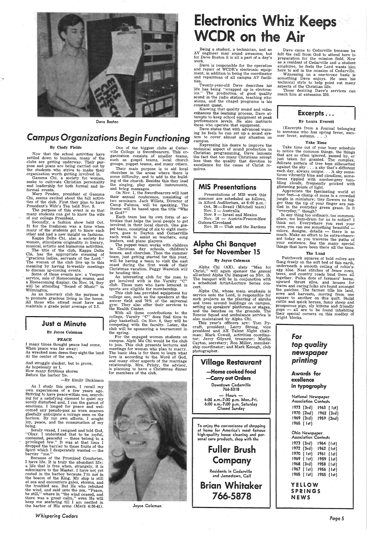

Dave Boston

## *Campus Organizations Begin Functioning*

#### By Cindy Fields

Now that the school activities have settled down to business, many of the clubs are getting underway. Their purpose and plans are being carried out by the students who strive to make their organization worth getting involved in.

Gamma Chi, a society for women, seeks to cultivate Christian personality and leadership for both formal and informal events.

Kappa Delta Chi, also a society for women, stimulates originality in lierary, musical, artistic and humorous activities.

 Mary Pruden, president of Gamma Chi, seems excited about the fall activities of the club. First they plan to have President's Wife's Tea held Nov. 9.

The title of the club, Kappa Delta Chi, has the appropriate meaning of "gracious ladies, servants of the Lord." "The women of the club live up to this meaning by having bi-weekly meetings to discuss up-coming events.

The purpose of this event is so that many students can get to know the wife of our college President.

Some of those events are: a Vespers service, sale of Homecoming mums, and a Homecoming display. On Nov. 14, they will be attending "Sound of Music" in Wilmington.

Secondly, a fashion show held Oct. 21 for the freshmen was a time when many of the students got to know each other and had <sup>a</sup>new insight on fashions.

And struggle slacker, but to prove, As hopelessly as I, How many fictitious shores Before the harbor lie.

As an honorary club the purpose is to promote gracious living in the home. All those who attend must have and maintain a grade point average of 2.5.

### **Just a Minute**

#### By Joyce Coleman

#### PEACE

I many times thought peace had come, When peace was far away; As wrecked men deem they sight the land At the center of the sea,

Their main purpose is to aid local churches in the areas where there is some difficulty, and to add to the building of the church. Besides this they lead the singing, play special instruments, and bring messages.

-By Emily Dickinson

On Nov. 1, the Swordbearers will host their annual conference, consisting of two seminars. Jack Willets, Director of Camp Patmos, will be speaking. The theme will be based upon the title "Who is God?"

As I study this poem, I recall my own experiences of a few years ago. Striving to have peace within me, searching for a satisfying element to quiet my sorely disturbed soul; I ran the gamut of emotions. I longed for peace and welcomed any pseudo-pax as worn seamen gleefully anticipate a mirage seen on the horizon. By my own efforts, I sought joy, peace, and the consumation of my being. Sorely vexed, I resigned and told God, "Okay. I understand that to be joyful, contented, peaceful  $-$  these belong to a privileged few." It was at that time I dropped the barrier to those fruits of the Spirit which I desperately wanted  $-$  the barrier "me." Because of the Promised Comforter, I have life. It is truly the abundant life; <sup>a</sup>life that is free when, strangely, it is submissive to the Master. I have not yet rested in the harbor because I'm not in the bosom of the King. My ship is still at sea and encounters gales, storms, and the troubled sea. But He who rebuked the wind, and said unto the sea, "Peace, be still," where in "the wind ceased, and there was a great calm," even He will keep me seafaring till I am nestled in the harbor of His arms (Mark 4:36-41).

Being a student, a technician, and an AV engineer may sound awesome, but for Dave Boston it is all a part of a day's work.

*Whispe\_ring Cedars* 

One of the biggest clubs at Cedarville College is Swordbearers. This organization consists of smaller teams, such as gospel teams, local church groups, puppet teams, and many others.

> Presentations of MIS work this summer are scheduled as follows, in Alford Auditorium, at 6:00 p.m.: Oct. 26 - Brazil (Mitchell team)

- 
- Nov. 2 Australia<br>Nov. 9 Israel and Mexico
- Nov. 16 Austria-France-New

Guinea-Cleveland Nov. 23 — Utah and the Bardons

This year's officers are: Tom Pycraft, president; Larry Strong, vice president and AX Talent Night chairman; Mark Cowell, activities coordinator; Jerry Gilyard, treasurer; Marlin Cayton, secretary; Ron Miller, membership coordinator; and Mark Keough, dub photographer.

Each team has its own form of activities that helps the local people to ge<sup>t</sup> involved in their local church. One gospel team, consisting of six to eight members, goes to Dayton and Oornerville each week to assist as teachers, song leaders, and piano players.

Dave came to Cedarville because he felt the call from God to attend here in preparation for the mission field. Now as a resident of Cedarville and a student employee, he feels the Lord wants him here to aid in the mission of Cedarville.

The puppet team works with children in Christian day schools, children's<br>homes, and churches. Then the summer team, just getting started for this year, will be having a team to visit the east coast during the first week of their Christmas vacation. Peggy Warwick will be heading this.

(Excerpts from a Journal belonging to someone who has spring fever, summer fever, autumn.  $\ldots$ .

An interesting club for the men to get involved with is the Varsity "C" club. Those men who have lettered in sports are eligible for membership.

Appreciate the fascinating world at your feet-a clump of moss is a crowded jungle in miniature; tiny flowers no bigger than the tip of your finger are nestled in the everyday green grass. Is it "everyday," though?

This club has provided equipment for college use, such as the speakers at the soccer field and 70% of the universal gym. They also offer their services to the Health Center.

With all these contributions to the college, Varsity "C" does find time to play basketball. On Nov. 8, they will be competing with the faculty. Later, the club will be sponsoring a tournament in the spring.

Is any thing too ordinary, too commonplace, too hum-drum for us to notice? I think not. Everywhere you rest your eyes, you can see something beautiful colors, designs, details — there is so<br>much. Make an effort to be extra-observant today as you traverse the paths of your existence. See the many special things that have been there all the time.

For the engaged women students on campus, Alphi Mu Chi would be the club to join. This club presents lectures and meetings for women who plan to marry. The basic idea is for them to learn what love is according to· the Word of God, and many other aspects of the marriage relationship. Mrs. Printy, the advisor, is planning to have a Christmas dinner for members of the club.

# Electronics Whiz Keeps n the Air



Dave is responsible for the operation and repair of WCDR's electronic equipment, in addition to being the coordinator and repairman of all campus AV facilities.

Twenty-year-old Dave describes his life has being "wrapped up in electronics." The production of good quality sound in the radio station, teaching situations, and the chapel programs *is* his constant- quest.

Knowing that quality sound and video enhances the learning process, Dave attempts to keep school equipment at peak performance levels. He also instructs those who operate that equipment.

Dave states that with advanced warning he feels he can set up a sound system to cover almost any situation on campus.

Expressing his desire to improve the technical aspect of sound production in Christian programming, Dave laments the fact that too many Christians accept less than the quality that devotion  $\hat{t}$ o excellence for the cause of Christ requires.

### MIS Presentations·

### Alpha Chi Banquet Set for November 15

#### By Joyce Coleman

Alpha Chi (AX), sixty "Men for Christ," will again sponsor the annual all-school Alpha Chi Banquet on Nov. 15. The banquet will be in conjunction with <sup>a</sup>scheduled Artist-Lecture Series concert.

 Alpha Chi, whose main emphasis *is*  service unto the Lord, is responsible for such\_projects as the planting of shrubs and trees around buildings on campus, setting up speakers' platforms or stages, and the benches on the grounds. The Rescue Squad and ambulance service is also maintained by Alpha Chi.

Village Restaurant -Home cooked food -Carry out Orders Downtown Cedarville 766-5318 - Hours - 6:00 a.m.-7:30 p.m. Mon,-Fri. 6:00 a.m.-7:00 p.m. Saturday Closed Sunday To enjoy the convenience of shopping at home for America's most famous high-quality house cleaning and personal care products, shop with the Fuller Brush Company Residents in Cedarville and Jamestown, Call Brian Whitaker 766-5878

Witnessing on a one-to-one basis is something Dave enjoys. He uses his technical style to help point out many aspects of the Christian life. -

Those desiring Dave's services can reach him at extension 250.

## Excerpts...

#### By Laura Everett

#### Take Time

Take time out of your busy schedule to notice the common things, the things that are so often ignored, passed by, or just taken for granted. The complex, delicate pattern of tree tops silhouetted against the sky ... <sup>a</sup>sky that's different each day, always unique. . . A sky sometimes vibrantly blue and cloudless, sometimes rippled with somber-grey tumbling clouds, frequently pricked with glistening points of light.

#### The Land

Patchwork squares of bold colors are flung freely on the soft bed of this earth, underneath a smooth ceiling of robin'segg blue. Neat stitches of fence rows, trees, and country roads bind them all together. Polka dots of farmers' barns, upward thrust silos, and houses for warm and caring folks are found amongst the patches. The farmer tills his land, sows and harvests, moving from one square to another on this quilt. Stolid cattle and quick horses, fuzzy sheep and prosperous pigs, sly kittens and friendly pups - all are to be found inhabiting their special corners on this medley of bright blocks.



National Newspaper Association Contests 1973 (3rd) 1963 ( 1st) 1970 (2nd) 1969 (3rd) 1965 ( 1st) 1962 (3rd) 1959 (2nd) Ohio Newspaper Association Contests 1973 (3rd) 1964 (1st) 1972 (3rd) - 1962 (1st) 1970 ( 1st) L961 ( 1st) 1969 ( 1st) 1959 ( 1st) 1968 (3rd) 1958 ( 1st) 1967 ( 1st) 1956 (1st) 1965 ( 1st) 1955 (1st) YELLOW SPRINGS NEWS

*Page5*